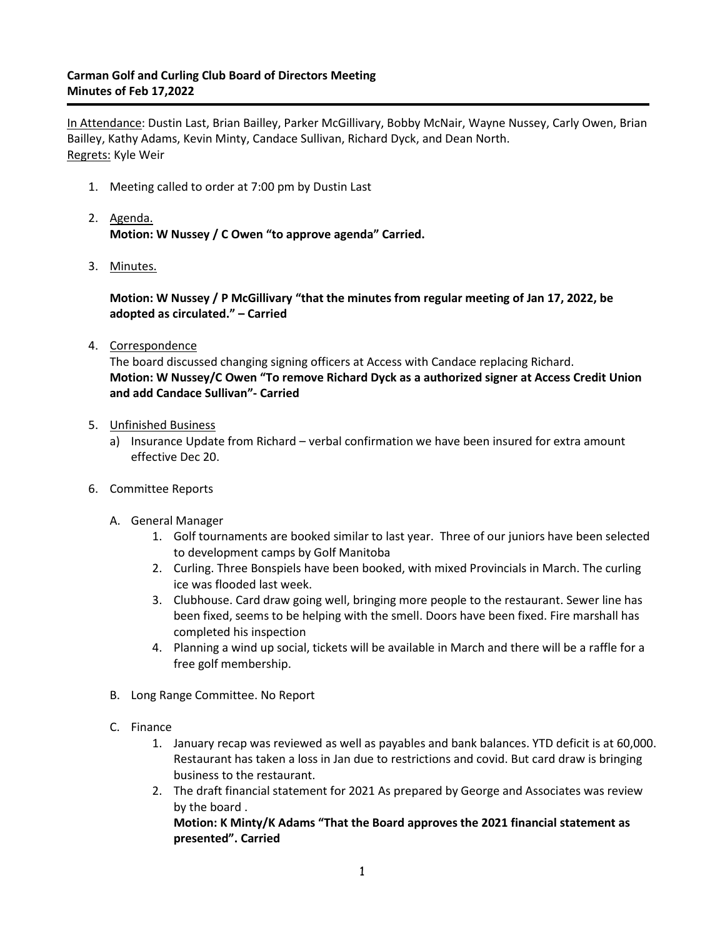## **Carman Golf and Curling Club Board of Directors Meeting Minutes of Feb 17,2022**

In Attendance: Dustin Last, Brian Bailley, Parker McGillivary, Bobby McNair, Wayne Nussey, Carly Owen, Brian Bailley, Kathy Adams, Kevin Minty, Candace Sullivan, Richard Dyck, and Dean North. Regrets: Kyle Weir

- 1. Meeting called to order at 7:00 pm by Dustin Last
- 2. Agenda. **Motion: W Nussey / C Owen "to approve agenda" Carried.**
- 3. Minutes.

**Motion: W Nussey / P McGillivary "that the minutes from regular meeting of Jan 17, 2022, be adopted as circulated." – Carried**

4. Correspondence

The board discussed changing signing officers at Access with Candace replacing Richard. **Motion: W Nussey/C Owen "To remove Richard Dyck as a authorized signer at Access Credit Union and add Candace Sullivan"- Carried**

- 5. Unfinished Business
	- a) Insurance Update from Richard verbal confirmation we have been insured for extra amount effective Dec 20.
- 6. Committee Reports
	- A. General Manager
		- 1. Golf tournaments are booked similar to last year. Three of our juniors have been selected to development camps by Golf Manitoba
		- 2. Curling. Three Bonspiels have been booked, with mixed Provincials in March. The curling ice was flooded last week.
		- 3. Clubhouse. Card draw going well, bringing more people to the restaurant. Sewer line has been fixed, seems to be helping with the smell. Doors have been fixed. Fire marshall has completed his inspection
		- 4. Planning a wind up social, tickets will be available in March and there will be a raffle for a free golf membership.
	- B. Long Range Committee. No Report
	- C. Finance
		- 1. January recap was reviewed as well as payables and bank balances. YTD deficit is at 60,000. Restaurant has taken a loss in Jan due to restrictions and covid. But card draw is bringing business to the restaurant.
		- 2. The draft financial statement for 2021 As prepared by George and Associates was review by the board .

**Motion: K Minty/K Adams "That the Board approves the 2021 financial statement as presented". Carried**